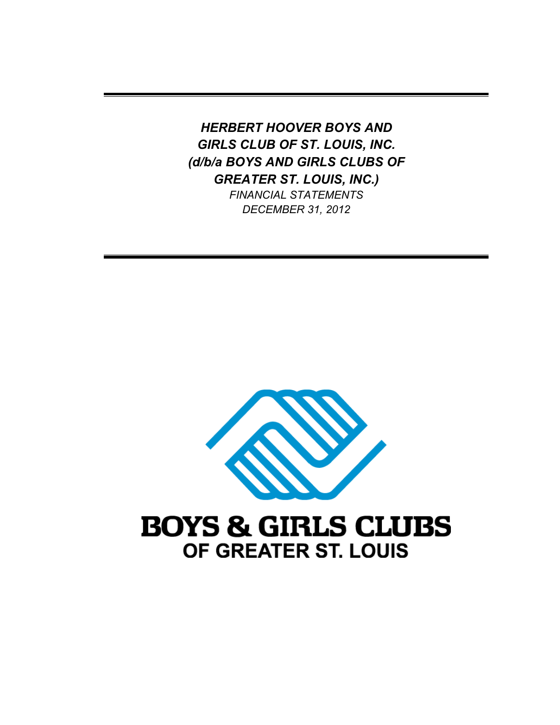*HERBERT HOOVER BOYS AND GIRLS CLUB OF ST. LOUIS, INC. (d/b/a BOYS AND GIRLS CLUBS OF GREATER ST. LOUIS, INC.) FINANCIAL STATEMENTS* 

*DECEMBER 31, 2012* 

**BOYS & GIRLS CLUBS** OF GREATER ST. LOUIS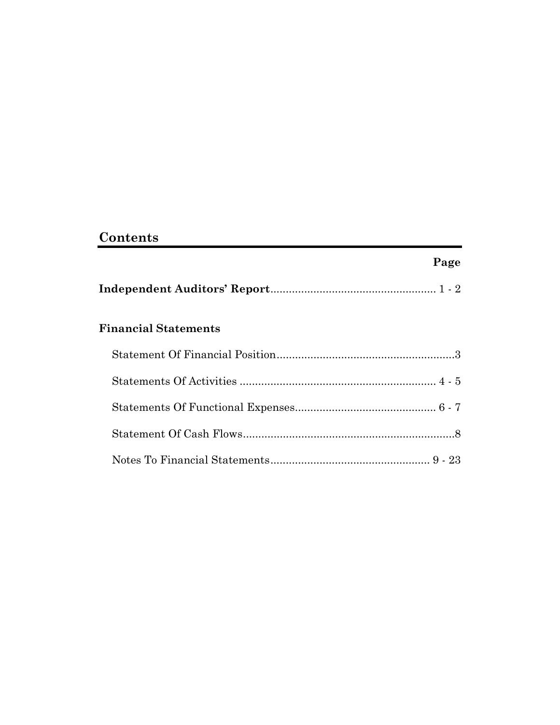# **Contents**

# **Page**

|--|--|--|

# **Financial Statements**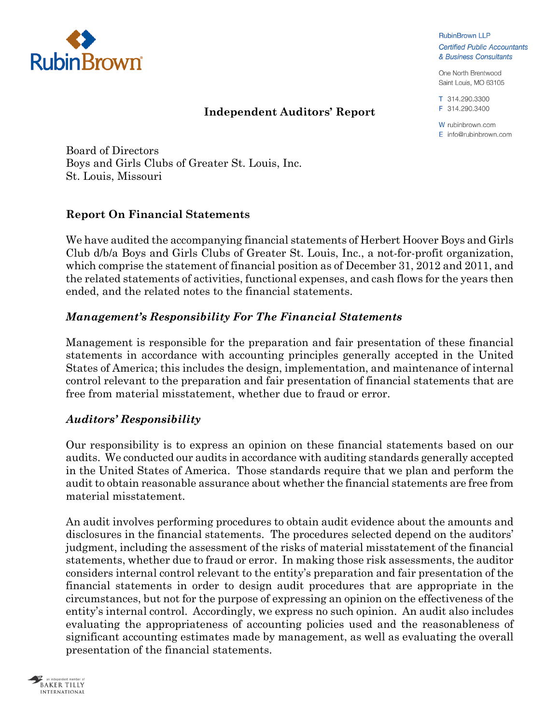

### **Independent Auditors' Report**

**RubinBrown LLP Certified Public Accountants** & Business Consultants

One North Brentwood Saint Louis, MO 63105

T 314.290.3300 F 314.290.3400

W rubinbrown.com  $F$  info@rubinbrown.com

Board of Directors Boys and Girls Clubs of Greater St. Louis, Inc. St. Louis, Missouri

### **Report On Financial Statements**

We have audited the accompanying financial statements of Herbert Hoover Boys and Girls Club d/b/a Boys and Girls Clubs of Greater St. Louis, Inc., a not-for-profit organization, which comprise the statement of financial position as of December 31, 2012 and 2011, and the related statements of activities, functional expenses, and cash flows for the years then ended, and the related notes to the financial statements.

### *Management's Responsibility For The Financial Statements*

Management is responsible for the preparation and fair presentation of these financial statements in accordance with accounting principles generally accepted in the United States of America; this includes the design, implementation, and maintenance of internal control relevant to the preparation and fair presentation of financial statements that are free from material misstatement, whether due to fraud or error.

# *Auditors' Responsibility*

Our responsibility is to express an opinion on these financial statements based on our audits. We conducted our audits in accordance with auditing standards generally accepted in the United States of America. Those standards require that we plan and perform the audit to obtain reasonable assurance about whether the financial statements are free from material misstatement.

An audit involves performing procedures to obtain audit evidence about the amounts and disclosures in the financial statements. The procedures selected depend on the auditors' judgment, including the assessment of the risks of material misstatement of the financial statements, whether due to fraud or error. In making those risk assessments, the auditor considers internal control relevant to the entity's preparation and fair presentation of the financial statements in order to design audit procedures that are appropriate in the circumstances, but not for the purpose of expressing an opinion on the effectiveness of the entity's internal control. Accordingly, we express no such opinion. An audit also includes evaluating the appropriateness of accounting policies used and the reasonableness of significant accounting estimates made by management, as well as evaluating the overall presentation of the financial statements.

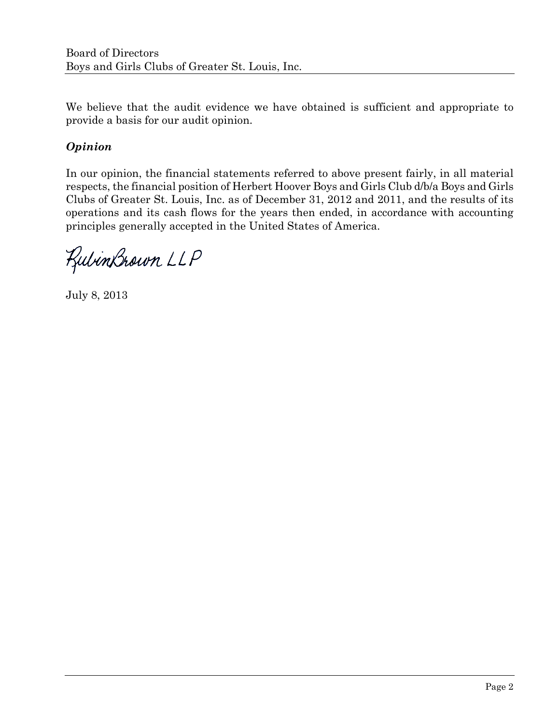We believe that the audit evidence we have obtained is sufficient and appropriate to provide a basis for our audit opinion.

# *Opinion*

In our opinion, the financial statements referred to above present fairly, in all material respects, the financial position of Herbert Hoover Boys and Girls Club d/b/a Boys and Girls Clubs of Greater St. Louis, Inc. as of December 31, 2012 and 2011, and the results of its operations and its cash flows for the years then ended, in accordance with accounting principles generally accepted in the United States of America.

RubinBrown LLP

July 8, 2013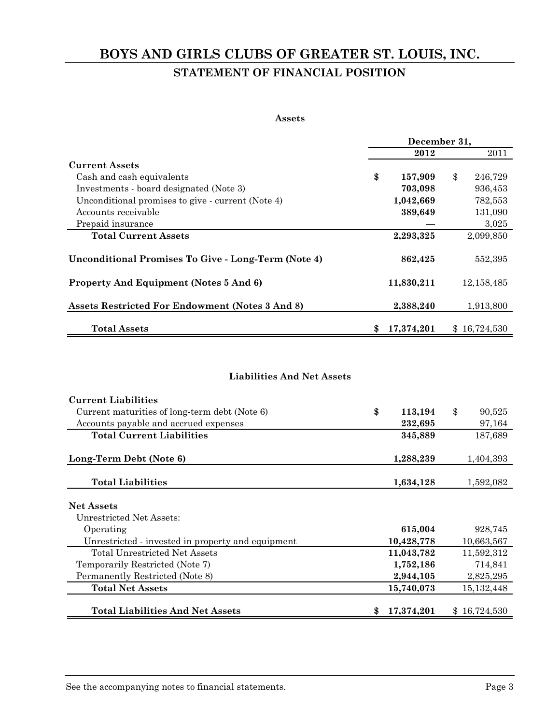# **BOYS AND GIRLS CLUBS OF GREATER ST. LOUIS, INC. STATEMENT OF FINANCIAL POSITION**

#### **Assets**

|                                                            |                   | December 31,  |
|------------------------------------------------------------|-------------------|---------------|
|                                                            | 2012              | 2011          |
| <b>Current Assets</b>                                      |                   |               |
| Cash and cash equivalents                                  | \$<br>157,909     | \$<br>246,729 |
| Investments - board designated (Note 3)                    | 703,098           | 936,453       |
| Unconditional promises to give - current (Note 4)          | 1,042,669         | 782,553       |
| Accounts receivable                                        | 389,649           | 131,090       |
| Prepaid insurance                                          |                   | 3,025         |
| <b>Total Current Assets</b>                                | 2,293,325         | 2,099,850     |
| <b>Unconditional Promises To Give - Long-Term (Note 4)</b> | 862,425           | 552,395       |
| <b>Property And Equipment (Notes 5 And 6)</b>              | 11,830,211        | 12, 158, 485  |
| Assets Restricted For Endowment (Notes 3 And 8)            | 2,388,240         | 1,913,800     |
| <b>Total Assets</b>                                        | 17,374,201<br>\$, | \$16,724,530  |

#### **Liabilities And Net Assets**

| <b>Current Liabilities</b>                        |    |            |              |
|---------------------------------------------------|----|------------|--------------|
| Current maturities of long-term debt (Note 6)     | \$ | 113,194    | \$<br>90,525 |
| Accounts payable and accrued expenses             |    | 232,695    | 97,164       |
| <b>Total Current Liabilities</b>                  |    | 345,889    | 187,689      |
|                                                   |    |            |              |
| Long-Term Debt (Note 6)                           |    | 1,288,239  | 1,404,393    |
|                                                   |    |            |              |
| <b>Total Liabilities</b>                          |    | 1,634,128  | 1,592,082    |
|                                                   |    |            |              |
| <b>Net Assets</b>                                 |    |            |              |
| Unrestricted Net Assets:                          |    |            |              |
| Operating                                         |    | 615,004    | 928,745      |
| Unrestricted - invested in property and equipment |    | 10,428,778 | 10,663,567   |
| Total Unrestricted Net Assets                     |    | 11,043,782 | 11,592,312   |
| Temporarily Restricted (Note 7)                   |    | 1,752,186  | 714,841      |
| Permanently Restricted (Note 8)                   |    | 2,944,105  | 2,825,295    |
| <b>Total Net Assets</b>                           |    | 15,740,073 | 15, 132, 448 |
|                                                   |    |            |              |
| <b>Total Liabilities And Net Assets</b>           | S  | 17,374,201 | \$16,724,530 |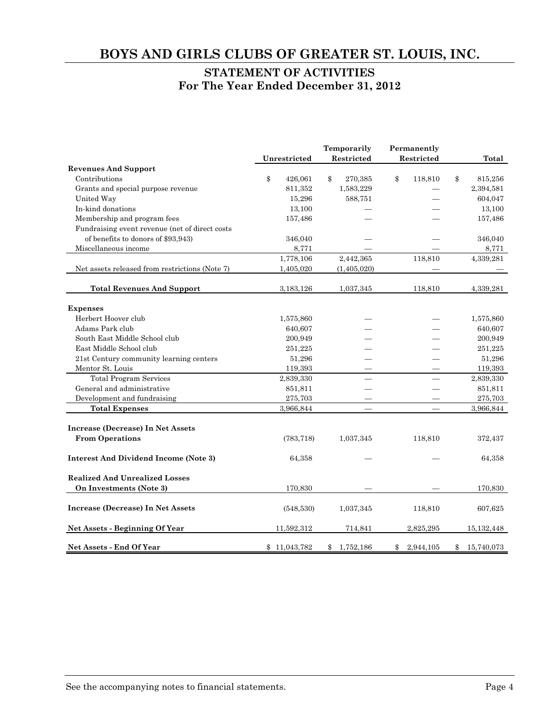#### **STATEMENT OF ACTIVITIES For The Year Ended December 31, 2012**

|                                                |               | Temporarily     | Permanently     |                  |
|------------------------------------------------|---------------|-----------------|-----------------|------------------|
| <b>Revenues And Support</b>                    | Unrestricted  | Restricted      | Restricted      | Total            |
| Contributions                                  | \$<br>426,061 | \$<br>270,385   | \$<br>118,810   | \$<br>815,256    |
| Grants and special purpose revenue             | 811,352       | 1,583,229       |                 | 2,394,581        |
| United Way                                     | 15,296        | 588,751         |                 | 604,047          |
| In-kind donations                              | 13,100        |                 |                 | 13,100           |
| Membership and program fees                    | 157,486       |                 |                 | 157,486          |
| Fundraising event revenue (net of direct costs |               |                 |                 |                  |
| of benefits to donors of \$93,943)             | 346,040       |                 |                 | 346,040          |
| Miscellaneous income                           | 8,771         |                 |                 | 8,771            |
|                                                | 1,778,106     | 2,442,365       | 118,810         | 4,339,281        |
| Net assets released from restrictions (Note 7) | 1,405,020     | (1,405,020)     |                 |                  |
|                                                |               |                 |                 |                  |
| <b>Total Revenues And Support</b>              | 3,183,126     | 1,037,345       | 118,810         | 4,339,281        |
| <b>Expenses</b>                                |               |                 |                 |                  |
| Herbert Hoover club                            | 1,575,860     |                 |                 | 1,575,860        |
| Adams Park club                                | 640,607       |                 |                 | 640,607          |
| South East Middle School club                  | 200,949       |                 |                 | 200,949          |
| East Middle School club                        | 251,225       |                 |                 | 251,225          |
| 21st Century community learning centers        | 51,296        |                 |                 | 51,296           |
| Mentor St. Louis                               | 119,393       |                 |                 | 119,393          |
| <b>Total Program Services</b>                  | 2,839,330     |                 |                 | 2,839,330        |
| General and administrative                     | 851,811       |                 |                 | 851,811          |
| Development and fundraising                    | 275,703       |                 |                 | 275,703          |
| <b>Total Expenses</b>                          | 3,966,844     | $\equiv$        |                 | 3,966,844        |
| Increase (Decrease) In Net Assets              |               |                 |                 |                  |
| <b>From Operations</b>                         |               |                 |                 |                  |
|                                                | (783, 718)    | 1,037,345       | 118,810         | 372,437          |
| <b>Interest And Dividend Income (Note 3)</b>   | 64,358        |                 |                 | 64,358           |
| <b>Realized And Unrealized Losses</b>          |               |                 |                 |                  |
| On Investments (Note 3)                        | 170,830       |                 |                 | 170,830          |
| <b>Increase (Decrease) In Net Assets</b>       | (548,530)     | 1,037,345       | 118,810         | 607,625          |
|                                                |               |                 |                 |                  |
| Net Assets - Beginning Of Year                 | 11,592,312    | 714,841         | 2,825,295       | 15,132,448       |
| Net Assets - End Of Year                       | \$11,043,782  | 1,752,186<br>\$ | 2,944,105<br>\$ | 15,740,073<br>\$ |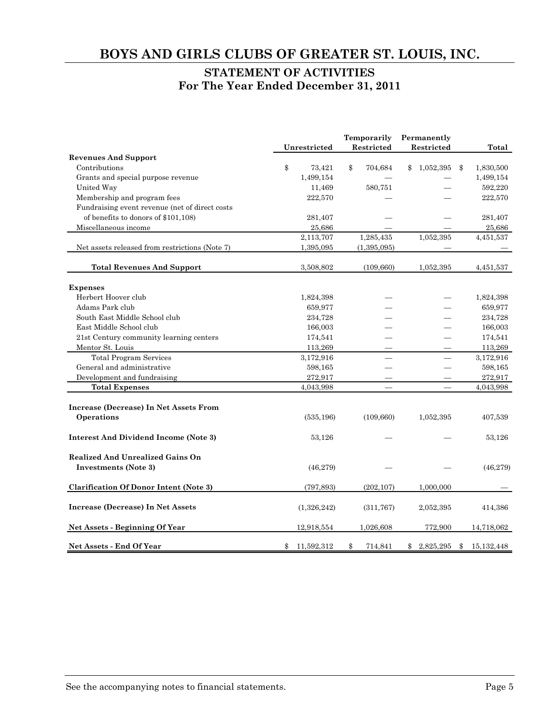#### **STATEMENT OF ACTIVITIES For The Year Ended December 31, 2011**

|                                                                        | Unrestricted     | Temporarily<br>Restricted | Permanently<br>Restricted | <b>Total</b>       |
|------------------------------------------------------------------------|------------------|---------------------------|---------------------------|--------------------|
| <b>Revenues And Support</b>                                            |                  |                           |                           |                    |
| Contributions                                                          | \$<br>73,421     | \$<br>704,684             | 1,052,395<br>\$           | \$<br>1,830,500    |
| Grants and special purpose revenue                                     | 1,499,154        |                           |                           | 1,499,154          |
| United Way                                                             | 11,469           | 580,751                   |                           | 592,220            |
| Membership and program fees                                            | 222,570          |                           |                           | 222,570            |
| Fundraising event revenue (net of direct costs                         |                  |                           |                           |                    |
| of benefits to donors of \$101,108)                                    | 281,407          |                           |                           | 281,407            |
| Miscellaneous income                                                   | 25,686           |                           |                           | 25,686             |
|                                                                        | 2,113,707        | 1,285,435                 | 1,052,395                 | 4,451,537          |
| Net assets released from restrictions (Note 7)                         | 1,395,095        | (1, 395, 095)             |                           |                    |
| <b>Total Revenues And Support</b>                                      | 3,508,802        | (109, 660)                | 1,052,395                 | 4,451,537          |
| <b>Expenses</b>                                                        |                  |                           |                           |                    |
| Herbert Hoover club                                                    | 1,824,398        |                           |                           | 1,824,398          |
| Adams Park club                                                        | 659,977          |                           |                           | 659,977            |
| South East Middle School club                                          | 234,728          |                           |                           | 234,728            |
| East Middle School club                                                | 166,003          |                           |                           | 166,003            |
| 21st Century community learning centers                                | 174,541          |                           |                           | 174,541            |
| Mentor St. Louis                                                       | 113,269          |                           |                           | 113,269            |
| <b>Total Program Services</b>                                          | 3,172,916        |                           |                           | 3,172,916          |
| General and administrative                                             | 598,165          |                           |                           | 598,165            |
| Development and fundraising                                            | 272,917          |                           |                           | 272,917            |
| <b>Total Expenses</b>                                                  | 4,043,998        |                           | $\overline{\phantom{0}}$  | 4,043,998          |
| Increase (Decrease) In Net Assets From                                 |                  |                           |                           |                    |
| Operations                                                             | (535, 196)       | (109, 660)                | 1,052,395                 | 407,539            |
| <b>Interest And Dividend Income (Note 3)</b>                           | 53,126           |                           |                           | 53,126             |
| <b>Realized And Unrealized Gains On</b><br><b>Investments (Note 3)</b> | (46, 279)        |                           |                           | (46, 279)          |
| <b>Clarification Of Donor Intent (Note 3)</b>                          | (797, 893)       | (202, 107)                | 1,000,000                 |                    |
| <b>Increase (Decrease) In Net Assets</b>                               | (1,326,242)      | (311, 767)                | 2,052,395                 | 414,386            |
| <b>Net Assets - Beginning Of Year</b>                                  | 12,918,554       | 1,026,608                 | 772,900                   | 14,718,062         |
| Net Assets - End Of Year                                               | \$<br>11,592,312 | \$<br>714,841             | 2,825,295<br>\$           | \$<br>15, 132, 448 |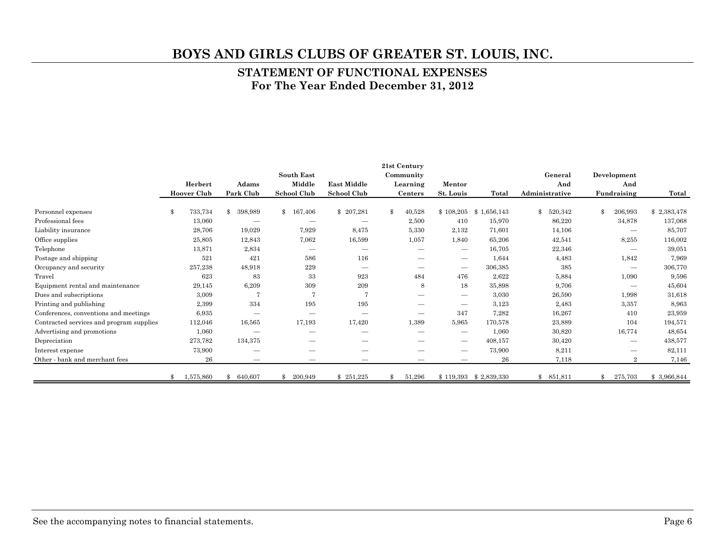#### **STATEMENT OF FUNCTIONAL EXPENSES For The Year Ended December 31, 2012**

|                                          |                    |                          |             |                    | 21st Century             |                                 |             |                |           |                |                                 |             |
|------------------------------------------|--------------------|--------------------------|-------------|--------------------|--------------------------|---------------------------------|-------------|----------------|-----------|----------------|---------------------------------|-------------|
|                                          |                    |                          | South East  |                    | Community                |                                 |             |                | General   |                | Development                     |             |
|                                          | Herbert            | Adams                    | Middle      | <b>East Middle</b> | Learning                 | Mentor                          |             |                | And       |                | And                             |             |
|                                          | <b>Hoover Club</b> | Park Club                | School Club | <b>School Club</b> | <b>Centers</b>           | St. Louis                       | Total       | Administrative |           |                | Fundraising                     | Total       |
| Personnel expenses                       | \$<br>733,734      | \$<br>398,989            | \$167,406   | \$207,281          | \$<br>40,528             | \$108,205                       | \$1,656,143 | \$             | 520,342   | $\mathbf{\Re}$ | 206,993                         | \$2,383,478 |
| Professional fees                        | 13,060             |                          |             |                    | 2,500                    | 410                             | 15,970      |                | 86,220    |                | 34,878                          | 137,068     |
| Liability insurance                      | 28,706             | 19,029                   | 7,929       | 8,475              | 5,330                    | 2,132                           | 71,601      |                | 14,106    |                | $\overline{\phantom{m}}$        | 85,707      |
| Office supplies                          | 25,805             | 12,843                   | 7,062       | 16,599             | 1,057                    | 1,840                           | 65,206      |                | 42,541    |                | 8,255                           | 116,002     |
| Telephone                                | 13,871             | 2,834                    |             |                    | $\overline{\phantom{0}}$ | $\qquad \qquad$                 | 16,705      |                | 22,346    |                | $\overline{\phantom{m}}$        | 39,051      |
| Postage and shipping                     | 521                | 421                      | 586         | 116                |                          | $\overbrace{\qquad \qquad }^{}$ | 1,644       |                | 4,483     |                | 1,842                           | 7,969       |
| Occupancy and security                   | 257,238            | 48,918                   | 229         |                    | --                       | $\qquad \qquad$                 | 306,385     |                | 385       |                | $\qquad \qquad$                 | 306,770     |
| Travel                                   | 623                | 83                       | 33          | 923                | 484                      | 476                             | 2,622       |                | 5,884     |                | 1,090                           | 9,596       |
| Equipment rental and maintenance         | 29,145             | 6,209                    | 309         | 209                | 8                        | 18                              | 35,898      |                | 9,706     |                | $\qquad \qquad$                 | 45,604      |
| Dues and subscriptions                   | 3,009              | 7                        | 7           | 7                  |                          | $\overline{\phantom{0}}$        | 3,030       |                | 26,590    |                | 1,998                           | 31,618      |
| Printing and publishing                  | 2,399              | 334                      | 195         | 195                |                          | $\overline{\phantom{0}}$        | 3,123       |                | 2,483     |                | 3,357                           | 8,963       |
| Conferences, conventions and meetings    | 6,935              | $\overline{\phantom{a}}$ |             |                    |                          | 347                             | 7,282       |                | 16,267    |                | 410                             | 23,959      |
| Contracted services and program supplies | 112,046            | 16,565                   | 17,193      | 17,420             | 1,389                    | 5,965                           | 170,578     |                | 23,889    |                | 104                             | 194,571     |
| Advertising and promotions               | 1,060              |                          |             |                    |                          | $\qquad \qquad$                 | 1,060       |                | 30,820    |                | 16,774                          | 48,654      |
| Depreciation                             | 273,782            | 134,375                  |             |                    |                          | $\hspace{0.1mm}-\hspace{0.1mm}$ | 408,157     |                | 30,420    |                | $\hspace{0.1mm}-\hspace{0.1mm}$ | 438,577     |
| Interest expense                         | 73,900             | --                       |             |                    |                          | —                               | 73,900      |                | 8,211     |                | $\overline{\phantom{0}}$        | 82,111      |
| Other - bank and merchant fees           | 26                 | $\overline{\phantom{0}}$ |             |                    |                          |                                 | 26          |                | 7,118     |                | $\mathbf{2}$                    | 7,146       |
|                                          | 1,575,860          | \$<br>640,607            | 200,949     | \$251,225          | 51,296                   | \$119,393                       | \$2,839,330 |                | \$851,811 |                | 275,703                         | \$3,966,844 |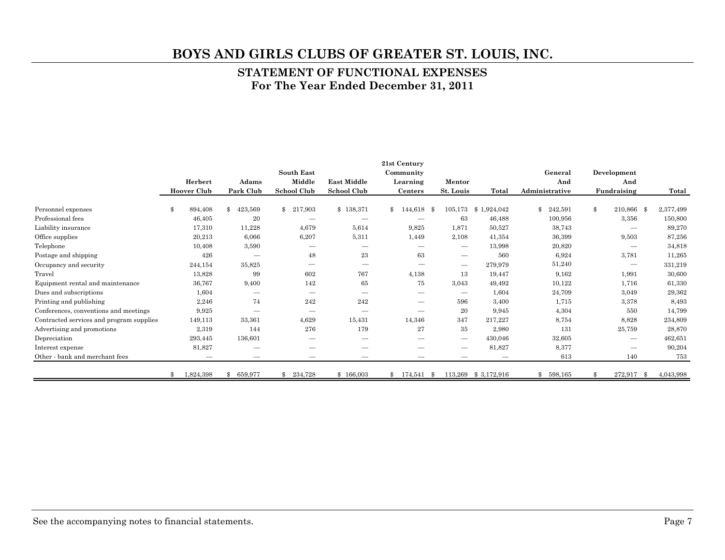#### **STATEMENT OF FUNCTIONAL EXPENSES For The Year Ended December 31, 2011**

|                                          |               |                    |                          |                          |                          | 21st Century             |                          |                     |                |                          |           |
|------------------------------------------|---------------|--------------------|--------------------------|--------------------------|--------------------------|--------------------------|--------------------------|---------------------|----------------|--------------------------|-----------|
|                                          |               |                    |                          | <b>South East</b>        |                          | Community                |                          |                     | General        | Development              |           |
|                                          |               | Herbert            | Adams                    | Middle                   | <b>East Middle</b>       | Learning                 | Mentor                   |                     | And            | And                      |           |
|                                          |               | <b>Hoover Club</b> | Park Club                | <b>School Club</b>       | School Club              | Centers                  | St. Louis                | Total               | Administrative | Fundraising              | Total     |
| Personnel expenses                       | $\mathbf{\$}$ | 894,408            | \$<br>423,569            | $\mathbb{S}$<br>217,903  | \$138,371                | \$144,618                | 105,173<br>- \$          | 1,924,042<br>\$1    | \$.<br>242,591 | \$<br>210,866 \$         | 2,377,499 |
| Professional fees                        |               | 46,405             | 20                       |                          |                          |                          | 63                       | 46,488              | 100,956        | 3,356                    | 150,800   |
| Liability insurance                      |               | 17,310             | 11,228                   | 4,679                    | 5,614                    | 9,825                    | 1,871                    | 50,527              | 38,743         | —                        | 89,270    |
| Office supplies                          |               | 20,213             | 6,066                    | 6,207                    | 5,311                    | 1,449                    | 2,108                    | 41,354              | 36,399         | 9,503                    | 87,256    |
| Telephone                                |               | 10,408             | 3,590                    |                          |                          | —                        | $\hspace{0.05cm}$        | 13,998              | 20,820         |                          | 34,818    |
| Postage and shipping                     |               | 426                | $\overline{\phantom{0}}$ | 48                       | 23                       | 63                       | $\overline{\phantom{m}}$ | 560                 | 6,924          | 3,781                    | 11,265    |
| Occupancy and security                   |               | 244,154            | 35,825                   | $\overline{\phantom{0}}$ |                          |                          | $\longrightarrow$        | 279,979             | 51,240         |                          | 331,219   |
| Travel                                   |               | 13,828             | 99                       | 602                      | 767                      | 4,138                    | 13                       | 19,447              | 9,162          | 1,991                    | 30,600    |
| Equipment rental and maintenance         |               | 36,767             | 9,400                    | 142                      | 65                       | 75                       | 3,043                    | 49,492              | 10,122         | 1,716                    | 61,330    |
| Dues and subscriptions                   |               | 1,604              |                          | $\qquad \qquad$          | $\overline{\phantom{m}}$ |                          | $\hspace{0.05cm}$        | 1,604               | 24,709         | 3,049                    | 29,362    |
| Printing and publishing                  |               | 2,246              | 74                       | 242                      | 242                      |                          | 596                      | 3,400               | 1,715          | 3,378                    | 8,493     |
| Conferences, conventions and meetings    |               | 9,925              | $\overline{\phantom{0}}$ | $\overline{\phantom{m}}$ | $\overline{\phantom{m}}$ | $\overline{\phantom{0}}$ | 20                       | 9,945               | 4,304          | 550                      | 14,799    |
| Contracted services and program supplies |               | 149,113            | 33,361                   | 4,629                    | 15,431                   | 14,346                   | 347                      | 217,227             | 8,754          | 8,828                    | 234,809   |
| Advertising and promotions               |               | 2,319              | 144                      | 276                      | 179                      | 27                       | 35                       | 2,980               | 131            | 25,759                   | 28,870    |
| Depreciation                             |               | 293,445            | 136,601                  |                          |                          |                          | $\hspace{0.05cm}$        | 430,046             | 32,605         | $\qquad \qquad$          | 462,651   |
| Interest expense                         |               | 81,827             | –                        |                          |                          |                          | —                        | 81,827              | 8,377          |                          | 90,204    |
| Other - bank and merchant fees           |               |                    | $\overline{\phantom{0}}$ | $\overline{\phantom{m}}$ | $\overline{\phantom{m}}$ | $\overline{\phantom{0}}$ |                          |                     | 613            | 140                      | 753       |
|                                          | \$            | 1,824,398          | $\mathbf{\$}$<br>659,977 | $\mathbf{s}$<br>234,728  | \$166,003                | $$174,541$ \$            |                          | 113,269 \$3,172,916 | 598,165<br>S   | 272,917<br>$\mathbf{\$}$ | 4,043,998 |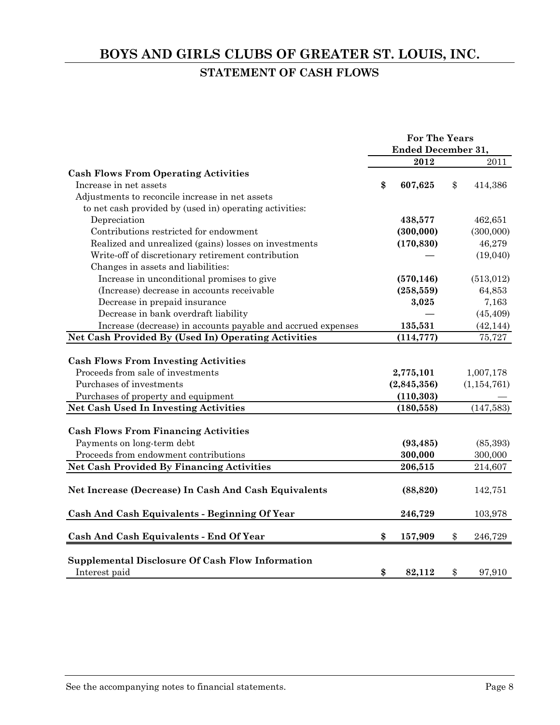# **BOYS AND GIRLS CLUBS OF GREATER ST. LOUIS, INC. STATEMENT OF CASH FLOWS**

|                                                              | <b>For The Years</b>      |               |
|--------------------------------------------------------------|---------------------------|---------------|
|                                                              | <b>Ended December 31,</b> |               |
|                                                              | 2012                      | 2011          |
| <b>Cash Flows From Operating Activities</b>                  |                           |               |
| Increase in net assets                                       | \$<br>607,625             | \$<br>414,386 |
| Adjustments to reconcile increase in net assets              |                           |               |
| to net cash provided by (used in) operating activities:      |                           |               |
| Depreciation                                                 | 438,577                   | 462,651       |
| Contributions restricted for endowment                       | (300,000)                 | (300,000)     |
| Realized and unrealized (gains) losses on investments        | (170, 830)                | 46,279        |
| Write-off of discretionary retirement contribution           |                           | (19,040)      |
| Changes in assets and liabilities:                           |                           |               |
| Increase in unconditional promises to give                   | (570, 146)                | (513, 012)    |
| (Increase) decrease in accounts receivable                   | (258, 559)                | 64,853        |
| Decrease in prepaid insurance                                | 3,025                     | 7,163         |
| Decrease in bank overdraft liability                         |                           | (45, 409)     |
| Increase (decrease) in accounts payable and accrued expenses | 135,531                   | (42, 144)     |
| Net Cash Provided By (Used In) Operating Activities          | (114, 777)                | 75,727        |
|                                                              |                           |               |
| <b>Cash Flows From Investing Activities</b>                  |                           |               |
| Proceeds from sale of investments                            | 2,775,101                 | 1,007,178     |
| Purchases of investments                                     | (2,845,356)               | (1, 154, 761) |
| Purchases of property and equipment                          | (110, 303)                |               |
| <b>Net Cash Used In Investing Activities</b>                 | (180, 558)                | (147, 583)    |
|                                                              |                           |               |
| <b>Cash Flows From Financing Activities</b>                  |                           |               |
| Payments on long-term debt                                   | (93, 485)                 | (85, 393)     |
| Proceeds from endowment contributions                        | 300,000                   | 300,000       |
| <b>Net Cash Provided By Financing Activities</b>             | 206,515                   | 214,607       |
|                                                              |                           |               |
| Net Increase (Decrease) In Cash And Cash Equivalents         | (88, 820)                 | 142,751       |
|                                                              |                           |               |
| Cash And Cash Equivalents - Beginning Of Year                | 246,729                   | 103,978       |
|                                                              |                           |               |
| <b>Cash And Cash Equivalents - End Of Year</b>               | \$<br>157,909             | \$<br>246,729 |
| Supplemental Disclosure Of Cash Flow Information             |                           |               |
| Interest paid                                                | \$<br>82,112              | \$<br>97.910  |
|                                                              |                           |               |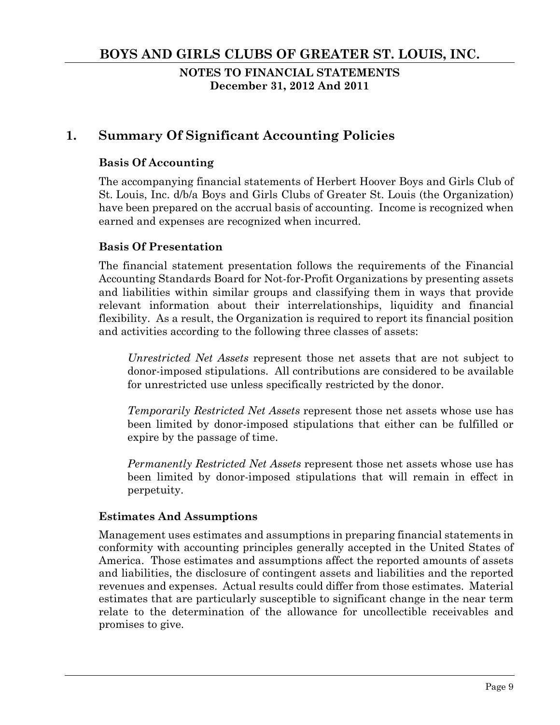**NOTES TO FINANCIAL STATEMENTS December 31, 2012 And 2011** 

# **1. Summary Of Significant Accounting Policies**

### **Basis Of Accounting**

The accompanying financial statements of Herbert Hoover Boys and Girls Club of St. Louis, Inc. d/b/a Boys and Girls Clubs of Greater St. Louis (the Organization) have been prepared on the accrual basis of accounting. Income is recognized when earned and expenses are recognized when incurred.

### **Basis Of Presentation**

The financial statement presentation follows the requirements of the Financial Accounting Standards Board for Not-for-Profit Organizations by presenting assets and liabilities within similar groups and classifying them in ways that provide relevant information about their interrelationships, liquidity and financial flexibility. As a result, the Organization is required to report its financial position and activities according to the following three classes of assets:

*Unrestricted Net Assets* represent those net assets that are not subject to donor-imposed stipulations. All contributions are considered to be available for unrestricted use unless specifically restricted by the donor.

*Temporarily Restricted Net Assets* represent those net assets whose use has been limited by donor-imposed stipulations that either can be fulfilled or expire by the passage of time.

*Permanently Restricted Net Assets* represent those net assets whose use has been limited by donor-imposed stipulations that will remain in effect in perpetuity.

### **Estimates And Assumptions**

Management uses estimates and assumptions in preparing financial statements in conformity with accounting principles generally accepted in the United States of America. Those estimates and assumptions affect the reported amounts of assets and liabilities, the disclosure of contingent assets and liabilities and the reported revenues and expenses. Actual results could differ from those estimates. Material estimates that are particularly susceptible to significant change in the near term relate to the determination of the allowance for uncollectible receivables and promises to give.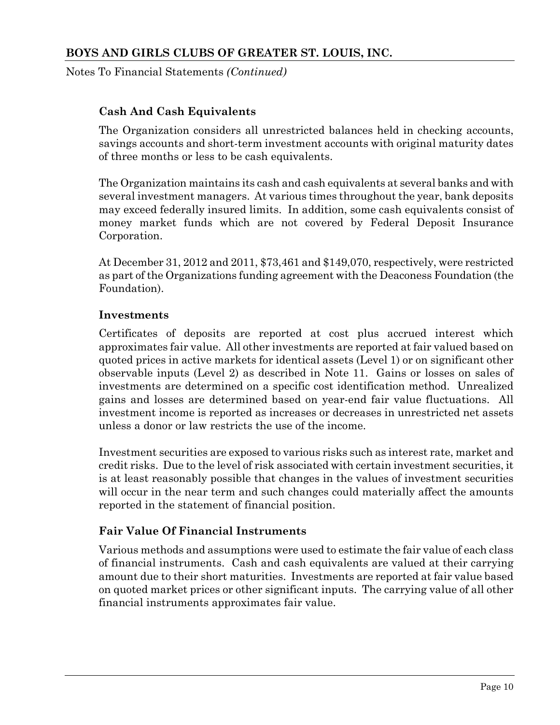Notes To Financial Statements *(Continued)*

# **Cash And Cash Equivalents**

The Organization considers all unrestricted balances held in checking accounts, savings accounts and short-term investment accounts with original maturity dates of three months or less to be cash equivalents.

The Organization maintains its cash and cash equivalents at several banks and with several investment managers. At various times throughout the year, bank deposits may exceed federally insured limits. In addition, some cash equivalents consist of money market funds which are not covered by Federal Deposit Insurance Corporation.

At December 31, 2012 and 2011, \$73,461 and \$149,070, respectively, were restricted as part of the Organizations funding agreement with the Deaconess Foundation (the Foundation).

### **Investments**

Certificates of deposits are reported at cost plus accrued interest which approximates fair value. All other investments are reported at fair valued based on quoted prices in active markets for identical assets (Level 1) or on significant other observable inputs (Level 2) as described in Note 11. Gains or losses on sales of investments are determined on a specific cost identification method. Unrealized gains and losses are determined based on year-end fair value fluctuations. All investment income is reported as increases or decreases in unrestricted net assets unless a donor or law restricts the use of the income.

Investment securities are exposed to various risks such as interest rate, market and credit risks. Due to the level of risk associated with certain investment securities, it is at least reasonably possible that changes in the values of investment securities will occur in the near term and such changes could materially affect the amounts reported in the statement of financial position.

# **Fair Value Of Financial Instruments**

Various methods and assumptions were used to estimate the fair value of each class of financial instruments. Cash and cash equivalents are valued at their carrying amount due to their short maturities. Investments are reported at fair value based on quoted market prices or other significant inputs. The carrying value of all other financial instruments approximates fair value.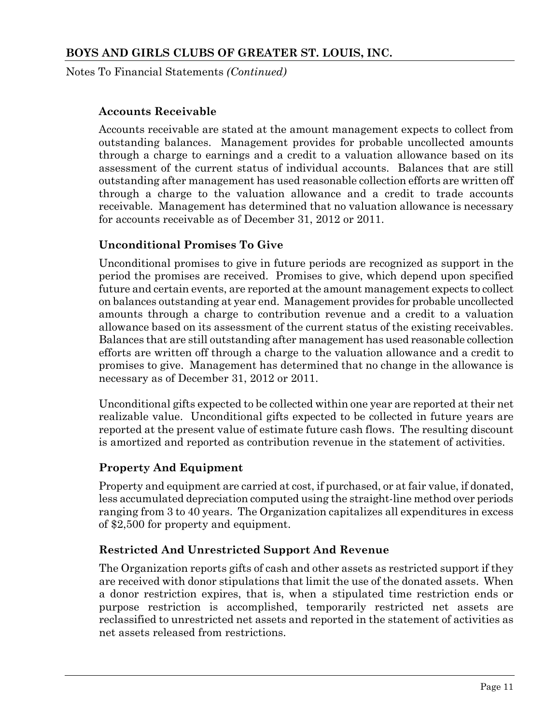Notes To Financial Statements *(Continued)*

### **Accounts Receivable**

Accounts receivable are stated at the amount management expects to collect from outstanding balances. Management provides for probable uncollected amounts through a charge to earnings and a credit to a valuation allowance based on its assessment of the current status of individual accounts. Balances that are still outstanding after management has used reasonable collection efforts are written off through a charge to the valuation allowance and a credit to trade accounts receivable. Management has determined that no valuation allowance is necessary for accounts receivable as of December 31, 2012 or 2011.

### **Unconditional Promises To Give**

Unconditional promises to give in future periods are recognized as support in the period the promises are received. Promises to give, which depend upon specified future and certain events, are reported at the amount management expects to collect on balances outstanding at year end. Management provides for probable uncollected amounts through a charge to contribution revenue and a credit to a valuation allowance based on its assessment of the current status of the existing receivables. Balances that are still outstanding after management has used reasonable collection efforts are written off through a charge to the valuation allowance and a credit to promises to give. Management has determined that no change in the allowance is necessary as of December 31, 2012 or 2011.

Unconditional gifts expected to be collected within one year are reported at their net realizable value. Unconditional gifts expected to be collected in future years are reported at the present value of estimate future cash flows. The resulting discount is amortized and reported as contribution revenue in the statement of activities.

### **Property And Equipment**

Property and equipment are carried at cost, if purchased, or at fair value, if donated, less accumulated depreciation computed using the straight-line method over periods ranging from 3 to 40 years. The Organization capitalizes all expenditures in excess of \$2,500 for property and equipment.

### **Restricted And Unrestricted Support And Revenue**

The Organization reports gifts of cash and other assets as restricted support if they are received with donor stipulations that limit the use of the donated assets. When a donor restriction expires, that is, when a stipulated time restriction ends or purpose restriction is accomplished, temporarily restricted net assets are reclassified to unrestricted net assets and reported in the statement of activities as net assets released from restrictions.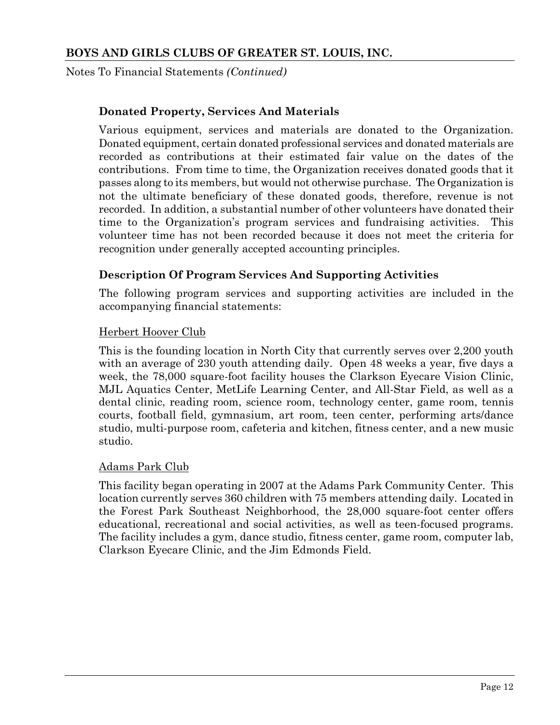Notes To Financial Statements *(Continued)*

### **Donated Property, Services And Materials**

Various equipment, services and materials are donated to the Organization. Donated equipment, certain donated professional services and donated materials are recorded as contributions at their estimated fair value on the dates of the contributions. From time to time, the Organization receives donated goods that it passes along to its members, but would not otherwise purchase. The Organization is not the ultimate beneficiary of these donated goods, therefore, revenue is not recorded. In addition, a substantial number of other volunteers have donated their time to the Organization's program services and fundraising activities. This volunteer time has not been recorded because it does not meet the criteria for recognition under generally accepted accounting principles.

#### **Description Of Program Services And Supporting Activities**

The following program services and supporting activities are included in the accompanying financial statements:

#### Herbert Hoover Club

This is the founding location in North City that currently serves over 2,200 youth with an average of 230 youth attending daily. Open 48 weeks a year, five days a week, the 78,000 square-foot facility houses the Clarkson Eyecare Vision Clinic, MJL Aquatics Center, MetLife Learning Center, and All-Star Field, as well as a dental clinic, reading room, science room, technology center, game room, tennis courts, football field, gymnasium, art room, teen center, performing arts/dance studio, multi-purpose room, cafeteria and kitchen, fitness center, and a new music studio.

#### Adams Park Club

This facility began operating in 2007 at the Adams Park Community Center. This location currently serves 360 children with 75 members attending daily. Located in the Forest Park Southeast Neighborhood, the 28,000 square-foot center offers educational, recreational and social activities, as well as teen-focused programs. The facility includes a gym, dance studio, fitness center, game room, computer lab, Clarkson Eyecare Clinic, and the Jim Edmonds Field.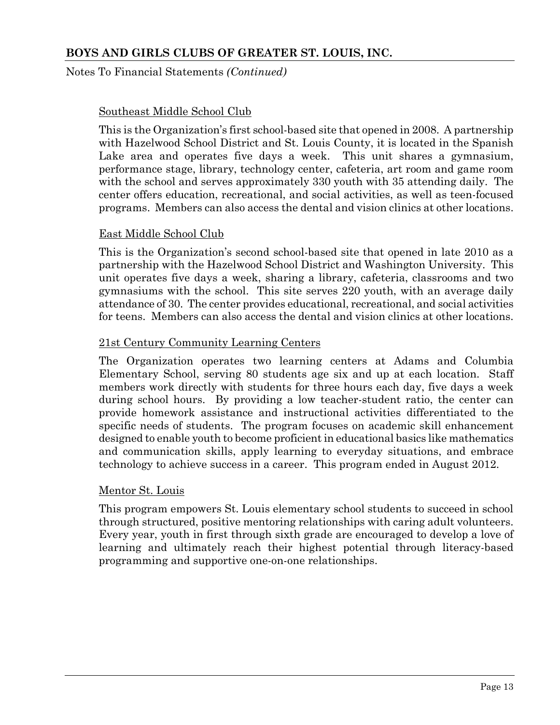Notes To Financial Statements *(Continued)*

#### Southeast Middle School Club

This is the Organization's first school-based site that opened in 2008. A partnership with Hazelwood School District and St. Louis County, it is located in the Spanish Lake area and operates five days a week. This unit shares a gymnasium, performance stage, library, technology center, cafeteria, art room and game room with the school and serves approximately 330 youth with 35 attending daily. The center offers education, recreational, and social activities, as well as teen-focused programs. Members can also access the dental and vision clinics at other locations.

#### East Middle School Club

This is the Organization's second school-based site that opened in late 2010 as a partnership with the Hazelwood School District and Washington University. This unit operates five days a week, sharing a library, cafeteria, classrooms and two gymnasiums with the school. This site serves 220 youth, with an average daily attendance of 30. The center provides educational, recreational, and social activities for teens. Members can also access the dental and vision clinics at other locations.

#### 21st Century Community Learning Centers

The Organization operates two learning centers at Adams and Columbia Elementary School, serving 80 students age six and up at each location. Staff members work directly with students for three hours each day, five days a week during school hours. By providing a low teacher-student ratio, the center can provide homework assistance and instructional activities differentiated to the specific needs of students. The program focuses on academic skill enhancement designed to enable youth to become proficient in educational basics like mathematics and communication skills, apply learning to everyday situations, and embrace technology to achieve success in a career. This program ended in August 2012.

#### Mentor St. Louis

This program empowers St. Louis elementary school students to succeed in school through structured, positive mentoring relationships with caring adult volunteers. Every year, youth in first through sixth grade are encouraged to develop a love of learning and ultimately reach their highest potential through literacy-based programming and supportive one-on-one relationships.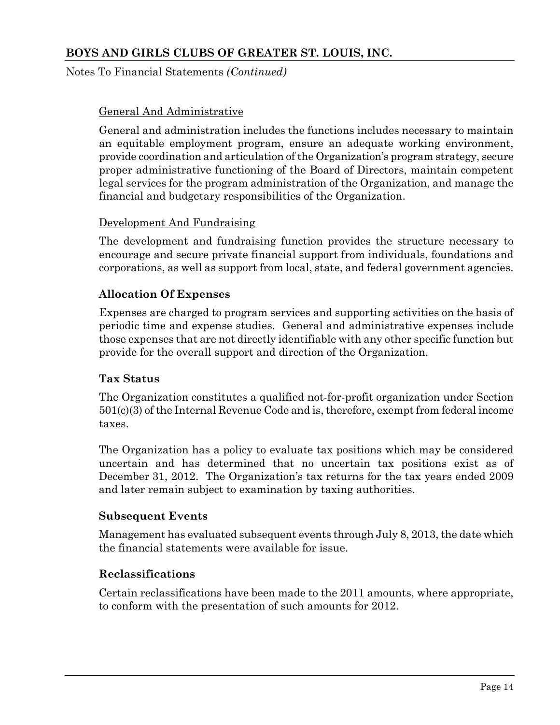Notes To Financial Statements *(Continued)*

# General And Administrative

General and administration includes the functions includes necessary to maintain an equitable employment program, ensure an adequate working environment, provide coordination and articulation of the Organization's program strategy, secure proper administrative functioning of the Board of Directors, maintain competent legal services for the program administration of the Organization, and manage the financial and budgetary responsibilities of the Organization.

### Development And Fundraising

The development and fundraising function provides the structure necessary to encourage and secure private financial support from individuals, foundations and corporations, as well as support from local, state, and federal government agencies.

# **Allocation Of Expenses**

Expenses are charged to program services and supporting activities on the basis of periodic time and expense studies. General and administrative expenses include those expenses that are not directly identifiable with any other specific function but provide for the overall support and direction of the Organization.

### **Tax Status**

The Organization constitutes a qualified not-for-profit organization under Section 501(c)(3) of the Internal Revenue Code and is, therefore, exempt from federal income taxes.

The Organization has a policy to evaluate tax positions which may be considered uncertain and has determined that no uncertain tax positions exist as of December 31, 2012. The Organization's tax returns for the tax years ended 2009 and later remain subject to examination by taxing authorities.

### **Subsequent Events**

Management has evaluated subsequent events through July 8, 2013, the date which the financial statements were available for issue.

### **Reclassifications**

Certain reclassifications have been made to the 2011 amounts, where appropriate, to conform with the presentation of such amounts for 2012.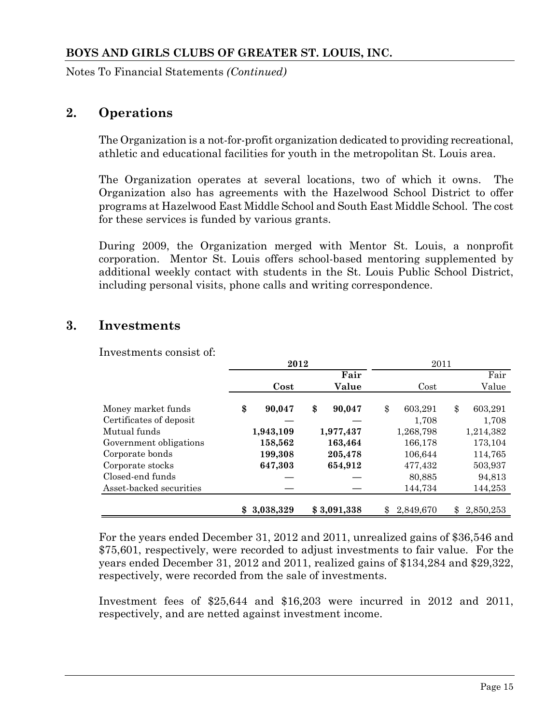Notes To Financial Statements *(Continued)*

# **2. Operations**

The Organization is a not-for-profit organization dedicated to providing recreational, athletic and educational facilities for youth in the metropolitan St. Louis area.

The Organization operates at several locations, two of which it owns. The Organization also has agreements with the Hazelwood School District to offer programs at Hazelwood East Middle School and South East Middle School. The cost for these services is funded by various grants.

During 2009, the Organization merged with Mentor St. Louis, a nonprofit corporation. Mentor St. Louis offers school-based mentoring supplemented by additional weekly contact with students in the St. Louis Public School District, including personal visits, phone calls and writing correspondence.

# **3. Investments**

Investments consist of:

|                         | 2012 |           |    |             | 2011            |    |           |  |
|-------------------------|------|-----------|----|-------------|-----------------|----|-----------|--|
|                         |      |           |    | Fair        |                 |    | Fair      |  |
|                         |      | Cost      |    | Value       | Cost            |    | Value     |  |
|                         |      |           |    |             |                 |    |           |  |
| Money market funds      | \$   | 90,047    | \$ | 90,047      | \$<br>603,291   | \$ | 603,291   |  |
| Certificates of deposit |      |           |    |             | 1,708           |    | 1,708     |  |
| Mutual funds            |      | 1,943,109 |    | 1,977,437   | 1,268,798       |    | 1,214,382 |  |
| Government obligations  |      | 158,562   |    | 163,464     | 166,178         |    | 173,104   |  |
| Corporate bonds         |      | 199,308   |    | 205,478     | 106,644         |    | 114,765   |  |
| Corporate stocks        |      | 647,303   |    | 654,912     | 477,432         |    | 503,937   |  |
| Closed-end funds        |      |           |    |             | 80,885          |    | 94,813    |  |
| Asset-backed securities |      |           |    |             | 144,734         |    | 144,253   |  |
|                         |      |           |    |             |                 |    |           |  |
|                         |      | 3,038,329 |    | \$3,091,338 | \$<br>2,849,670 | \$ | 2,850,253 |  |

For the years ended December 31, 2012 and 2011, unrealized gains of \$36,546 and \$75,601, respectively, were recorded to adjust investments to fair value. For the years ended December 31, 2012 and 2011, realized gains of \$134,284 and \$29,322, respectively, were recorded from the sale of investments.

Investment fees of \$25,644 and \$16,203 were incurred in 2012 and 2011, respectively, and are netted against investment income.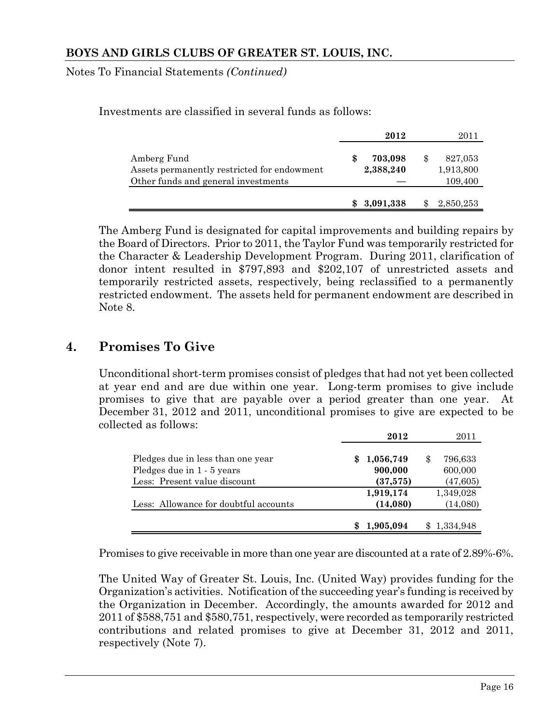Notes To Financial Statements *(Continued)*

Investments are classified in several funds as follows:

|                                             | 2012      | 2011      |
|---------------------------------------------|-----------|-----------|
| Amberg Fund                                 | 703,098   | 827,053   |
| Assets permanently restricted for endowment | 2,388,240 | 1,913,800 |
| Other funds and general investments         |           | 109,400   |
|                                             |           |           |
|                                             | 3,091,338 | 2,850,253 |

The Amberg Fund is designated for capital improvements and building repairs by the Board of Directors. Prior to 2011, the Taylor Fund was temporarily restricted for the Character & Leadership Development Program. During 2011, clarification of donor intent resulted in \$797,893 and \$202,107 of unrestricted assets and temporarily restricted assets, respectively, being reclassified to a permanently restricted endowment. The assets held for permanent endowment are described in Note 8.

# **4. Promises To Give**

Unconditional short-term promises consist of pledges that had not yet been collected at year end and are due within one year. Long-term promises to give include promises to give that are payable over a period greater than one year. At December 31, 2012 and 2011, unconditional promises to give are expected to be collected as follows:

|                                       |     | 2012      | 2011      |
|---------------------------------------|-----|-----------|-----------|
| Pledges due in less than one year     | SS. | 1,056,749 | 796,633   |
| Pledges due in 1 - 5 years            |     | 900,000   | 600,000   |
| Less: Present value discount          |     | (37,575)  | (47, 605) |
|                                       |     | 1,919,174 | 1,349,028 |
| Less: Allowance for doubtful accounts |     | (14, 080) | (14,080)  |
|                                       |     | 1,905,094 | 1,334,948 |

Promises to give receivable in more than one year are discounted at a rate of 2.89%-6%.

The United Way of Greater St. Louis, Inc. (United Way) provides funding for the Organization's activities. Notification of the succeeding year's funding is received by the Organization in December. Accordingly, the amounts awarded for 2012 and 2011 of \$588,751 and \$580,751, respectively, were recorded as temporarily restricted contributions and related promises to give at December 31, 2012 and 2011, respectively (Note 7).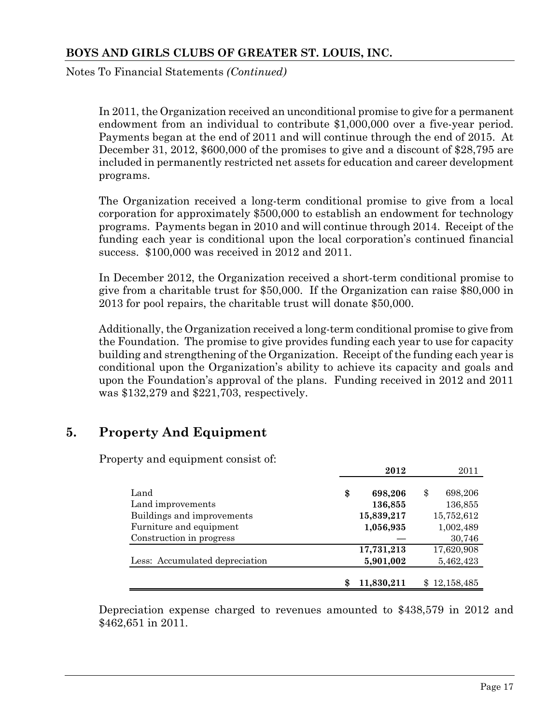Notes To Financial Statements *(Continued)*

In 2011, the Organization received an unconditional promise to give for a permanent endowment from an individual to contribute \$1,000,000 over a five-year period. Payments began at the end of 2011 and will continue through the end of 2015. At December 31, 2012, \$600,000 of the promises to give and a discount of \$28,795 are included in permanently restricted net assets for education and career development programs.

The Organization received a long-term conditional promise to give from a local corporation for approximately \$500,000 to establish an endowment for technology programs. Payments began in 2010 and will continue through 2014. Receipt of the funding each year is conditional upon the local corporation's continued financial success. \$100,000 was received in 2012 and 2011.

In December 2012, the Organization received a short-term conditional promise to give from a charitable trust for \$50,000. If the Organization can raise \$80,000 in 2013 for pool repairs, the charitable trust will donate \$50,000.

Additionally, the Organization received a long-term conditional promise to give from the Foundation. The promise to give provides funding each year to use for capacity building and strengthening of the Organization. Receipt of the funding each year is conditional upon the Organization's ability to achieve its capacity and goals and upon the Foundation's approval of the plans. Funding received in 2012 and 2011 was \$132,279 and \$221,703, respectively.

# **5. Property And Equipment**

Property and equipment consist of:

|                                | 2012            | 2011             |
|--------------------------------|-----------------|------------------|
| Land                           | \$<br>698,206   | \$<br>698,206    |
| Land improvements              | 136,855         | 136,855          |
| Buildings and improvements     | 15,839,217      | 15,752,612       |
| Furniture and equipment        | 1,056,935       | 1,002,489        |
| Construction in progress       |                 | 30,746           |
|                                | 17,731,213      | 17,620,908       |
| Less: Accumulated depreciation | 5,901,002       | 5,462,423        |
|                                | 11,830,211<br>S | 12,158,485<br>\$ |

Depreciation expense charged to revenues amounted to \$438,579 in 2012 and \$462,651 in 2011.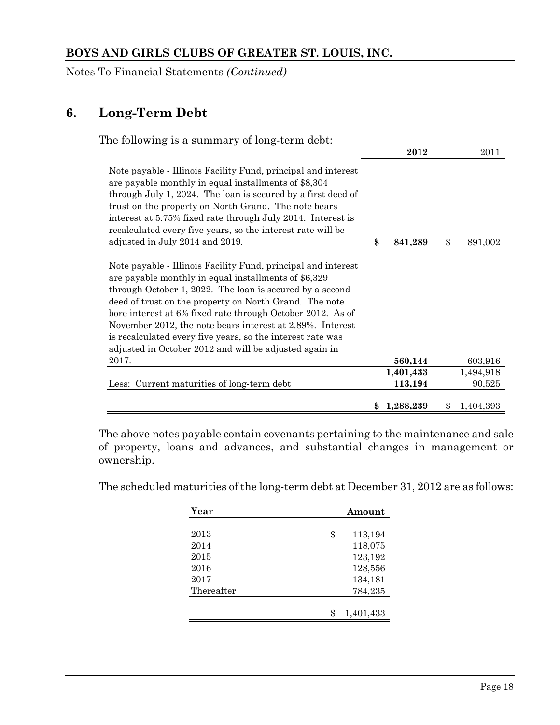Notes To Financial Statements *(Continued)*

# **6. Long-Term Debt**

| The following is a summary of long-term debt:                                                                                                                                                                                                                                                                                                                                                                                                                                                  |                |                 |
|------------------------------------------------------------------------------------------------------------------------------------------------------------------------------------------------------------------------------------------------------------------------------------------------------------------------------------------------------------------------------------------------------------------------------------------------------------------------------------------------|----------------|-----------------|
|                                                                                                                                                                                                                                                                                                                                                                                                                                                                                                | 2012           | 2011            |
| Note payable - Illinois Facility Fund, principal and interest<br>are payable monthly in equal installments of \$8,304<br>through July 1, 2024. The loan is secured by a first deed of<br>trust on the property on North Grand. The note bears<br>interest at 5.75% fixed rate through July 2014. Interest is<br>recalculated every five years, so the interest rate will be<br>adjusted in July 2014 and 2019.                                                                                 | \$<br>841,289  | \$<br>891,002   |
| Note payable - Illinois Facility Fund, principal and interest<br>are payable monthly in equal installments of \$6,329<br>through October 1, 2022. The loan is secured by a second<br>deed of trust on the property on North Grand. The note<br>bore interest at 6% fixed rate through October 2012. As of<br>November 2012, the note bears interest at 2.89%. Interest<br>is recalculated every five years, so the interest rate was<br>adjusted in October 2012 and will be adjusted again in |                |                 |
| 2017.                                                                                                                                                                                                                                                                                                                                                                                                                                                                                          | 560,144        | 603,916         |
|                                                                                                                                                                                                                                                                                                                                                                                                                                                                                                | 1,401,433      | 1,494,918       |
| Less: Current maturities of long-term debt                                                                                                                                                                                                                                                                                                                                                                                                                                                     | 113,194        | 90,525          |
|                                                                                                                                                                                                                                                                                                                                                                                                                                                                                                | 1,288,239<br>S | \$<br>1,404,393 |

The above notes payable contain covenants pertaining to the maintenance and sale of property, loans and advances, and substantial changes in management or ownership.

The scheduled maturities of the long-term debt at December 31, 2012 are as follows:

| Year       | Amount        |
|------------|---------------|
|            |               |
| 2013       | \$<br>113,194 |
| 2014       | 118,075       |
| 2015       | 123,192       |
| 2016       | 128,556       |
| 2017       | 134,181       |
| Thereafter | 784,235       |
|            |               |
|            | 1,401,433     |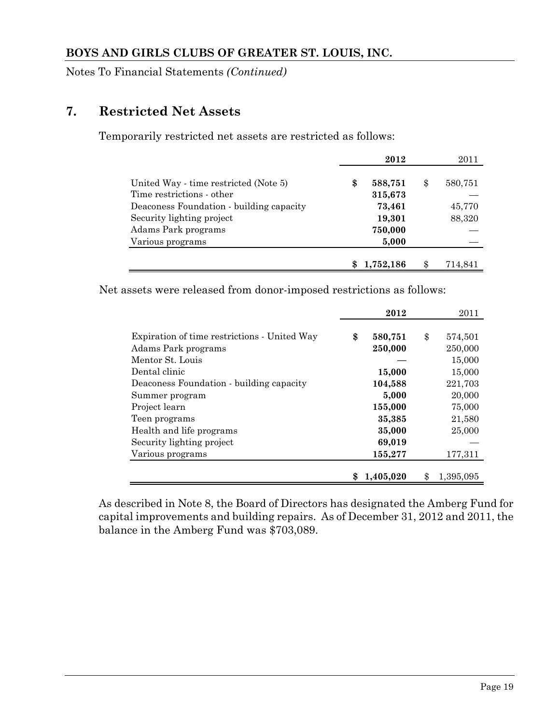Notes To Financial Statements *(Continued)*

# **7. Restricted Net Assets**

Temporarily restricted net assets are restricted as follows:

|                                          | 2012          | 2011          |
|------------------------------------------|---------------|---------------|
|                                          |               |               |
| United Way - time restricted (Note 5)    | \$<br>588,751 | \$<br>580,751 |
| Time restrictions - other                | 315,673       |               |
| Deaconess Foundation - building capacity | 73,461        | 45,770        |
| Security lighting project                | 19,301        | 88,320        |
| Adams Park programs                      | 750,000       |               |
| Various programs                         | 5,000         |               |
|                                          |               |               |
|                                          | 1,752,186     | 714,841       |

Net assets were released from donor-imposed restrictions as follows:

|                                              | 2012          | 2011            |
|----------------------------------------------|---------------|-----------------|
|                                              |               |                 |
| Expiration of time restrictions - United Way | \$<br>580,751 | \$<br>574,501   |
| Adams Park programs                          | 250,000       | 250,000         |
| Mentor St. Louis                             |               | 15,000          |
| Dental clinic                                | 15,000        | 15,000          |
| Deaconess Foundation - building capacity     | 104,588       | 221,703         |
| Summer program                               | 5,000         | 20,000          |
| Project learn                                | 155,000       | 75,000          |
| Teen programs                                | 35,385        | 21,580          |
| Health and life programs                     | 35,000        | 25,000          |
| Security lighting project                    | 69,019        |                 |
| Various programs                             | 155,277       | 177,311         |
|                                              |               |                 |
|                                              | 1,405,020     | \$<br>1,395,095 |

As described in Note 8, the Board of Directors has designated the Amberg Fund for capital improvements and building repairs. As of December 31, 2012 and 2011, the balance in the Amberg Fund was \$703,089.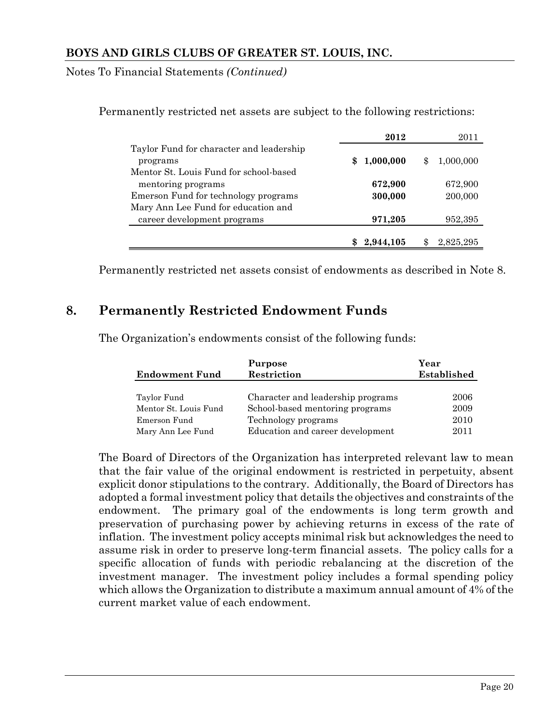Notes To Financial Statements *(Continued)*

|                                                      | 2012             | 2011            |
|------------------------------------------------------|------------------|-----------------|
| Taylor Fund for character and leadership<br>programs | 1,000,000<br>SS. | 1,000,000<br>\$ |
| Mentor St. Louis Fund for school-based               |                  |                 |
| mentoring programs                                   | 672,900          | 672,900         |
| Emerson Fund for technology programs                 | 300,000          | 200,000         |
| Mary Ann Lee Fund for education and                  |                  |                 |
| career development programs                          | 971,205          | 952,395         |
|                                                      |                  |                 |
|                                                      | 2.944.105        | 2,825,295       |

Permanently restricted net assets are subject to the following restrictions:

Permanently restricted net assets consist of endowments as described in Note 8.

# **8. Permanently Restricted Endowment Funds**

The Organization's endowments consist of the following funds:

|                       | <b>Purpose</b>                    | Year        |
|-----------------------|-----------------------------------|-------------|
| <b>Endowment Fund</b> | Restriction                       | Established |
|                       |                                   |             |
| Taylor Fund           | Character and leadership programs | 2006        |
| Mentor St. Louis Fund | School-based mentoring programs   | 2009        |
| Emerson Fund          | Technology programs               | 2010        |
| Mary Ann Lee Fund     | Education and career development  | 2011        |

The Board of Directors of the Organization has interpreted relevant law to mean that the fair value of the original endowment is restricted in perpetuity, absent explicit donor stipulations to the contrary. Additionally, the Board of Directors has adopted a formal investment policy that details the objectives and constraints of the endowment. The primary goal of the endowments is long term growth and preservation of purchasing power by achieving returns in excess of the rate of inflation. The investment policy accepts minimal risk but acknowledges the need to assume risk in order to preserve long-term financial assets. The policy calls for a specific allocation of funds with periodic rebalancing at the discretion of the investment manager. The investment policy includes a formal spending policy which allows the Organization to distribute a maximum annual amount of 4% of the current market value of each endowment.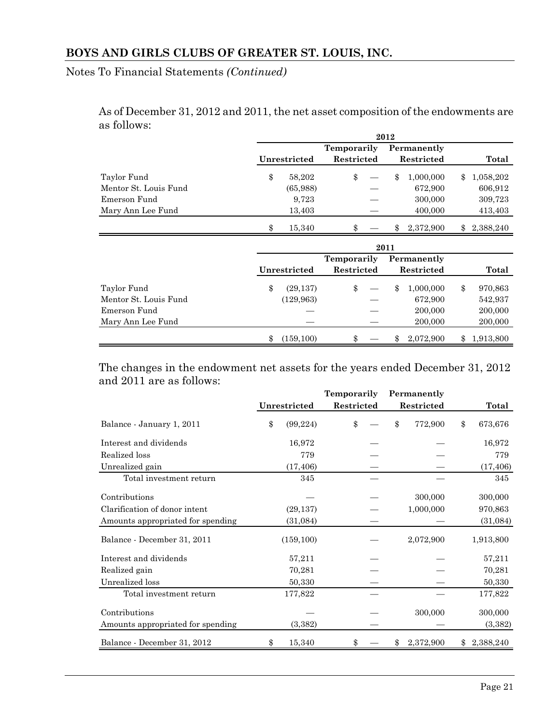Notes To Financial Statements *(Continued)*

As of December 31, 2012 and 2011, the net asset composition of the endowments are as follows:

|              |                              |                                                               |              |                                                        | Total     |
|--------------|------------------------------|---------------------------------------------------------------|--------------|--------------------------------------------------------|-----------|
| \$<br>58,202 | \$                           | \$                                                            | 1,000,000    | \$                                                     | 1,058,202 |
| (65,988)     |                              |                                                               | 672,900      |                                                        | 606,912   |
| 9,723        |                              |                                                               | 300,000      |                                                        | 309,723   |
| 13,403       |                              |                                                               | 400,000      |                                                        | 413,403   |
| \$<br>15,340 | \$                           | \$                                                            | 2,372,900    | $\mathbf{\$}$                                          | 2,388,240 |
|              |                              |                                                               |              |                                                        |           |
|              |                              |                                                               |              |                                                        | Total     |
|              | Unrestricted<br>Unrestricted | <b>Temporarily</b><br>Restricted<br>Temporarily<br>Restricted | 2012<br>2011 | Permanently<br>Restricted<br>Permanently<br>Restricted |           |

|                                      | unrestricted            | restricted | restricted           | Total                  |
|--------------------------------------|-------------------------|------------|----------------------|------------------------|
| Taylor Fund<br>Mentor St. Louis Fund | (29, 137)<br>(129, 963) |            | 1.000.000<br>672,900 | 970,863<br>542,937     |
| Emerson Fund                         |                         |            | 200,000              | 200,000                |
| Mary Ann Lee Fund                    | (159, 100)              | \$         | 200,000<br>2.072.900 | 200,000<br>\$1,913,800 |
|                                      |                         |            |                      |                        |

The changes in the endowment net assets for the years ended December 31, 2012 and 2011 are as follows:

|                                   |                 | Temporarily | Permanently     |                  |
|-----------------------------------|-----------------|-------------|-----------------|------------------|
|                                   | Unrestricted    | Restricted  | Restricted      | Total            |
| Balance - January 1, 2011         | \$<br>(99, 224) | \$          | \$<br>772,900   | \$<br>673,676    |
| Interest and dividends            | 16,972          |             |                 | 16,972           |
| Realized loss                     | 779             |             |                 | 779              |
| Unrealized gain                   | (17, 406)       |             |                 | (17, 406)        |
| Total investment return           | 345             |             |                 | 345              |
| Contributions                     |                 |             | 300,000         | 300,000          |
| Clarification of donor intent     | (29, 137)       |             | 1,000,000       | 970,863          |
| Amounts appropriated for spending | (31,084)        |             |                 | (31,084)         |
| Balance - December 31, 2011       | (159, 100)      |             | 2,072,900       | 1,913,800        |
| Interest and dividends            | 57,211          |             |                 | 57,211           |
| Realized gain                     | 70,281          |             |                 | 70,281           |
| Unrealized loss                   | 50,330          |             |                 | 50,330           |
| Total investment return           | 177,822         |             |                 | 177,822          |
| Contributions                     |                 |             | 300,000         | 300,000          |
| Amounts appropriated for spending | (3,382)         |             |                 | (3, 382)         |
| Balance - December 31, 2012       | 15,340<br>\$    | \$          | 2,372,900<br>\$ | 2,388,240<br>\$. |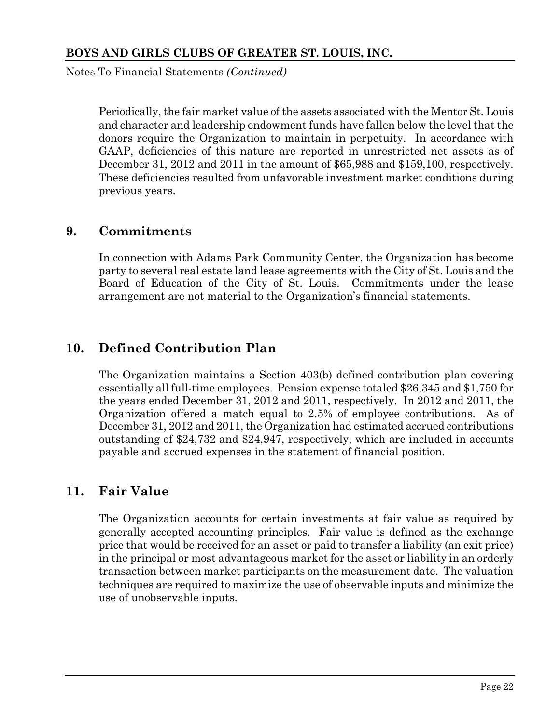Notes To Financial Statements *(Continued)*

Periodically, the fair market value of the assets associated with the Mentor St. Louis and character and leadership endowment funds have fallen below the level that the donors require the Organization to maintain in perpetuity. In accordance with GAAP, deficiencies of this nature are reported in unrestricted net assets as of December 31, 2012 and 2011 in the amount of \$65,988 and \$159,100, respectively. These deficiencies resulted from unfavorable investment market conditions during previous years.

# **9. Commitments**

In connection with Adams Park Community Center, the Organization has become party to several real estate land lease agreements with the City of St. Louis and the Board of Education of the City of St. Louis. Commitments under the lease arrangement are not material to the Organization's financial statements.

# **10. Defined Contribution Plan**

The Organization maintains a Section 403(b) defined contribution plan covering essentially all full-time employees. Pension expense totaled \$26,345 and \$1,750 for the years ended December 31, 2012 and 2011, respectively. In 2012 and 2011, the Organization offered a match equal to 2.5% of employee contributions. As of December 31, 2012 and 2011, the Organization had estimated accrued contributions outstanding of \$24,732 and \$24,947, respectively, which are included in accounts payable and accrued expenses in the statement of financial position.

# **11. Fair Value**

The Organization accounts for certain investments at fair value as required by generally accepted accounting principles. Fair value is defined as the exchange price that would be received for an asset or paid to transfer a liability (an exit price) in the principal or most advantageous market for the asset or liability in an orderly transaction between market participants on the measurement date. The valuation techniques are required to maximize the use of observable inputs and minimize the use of unobservable inputs.